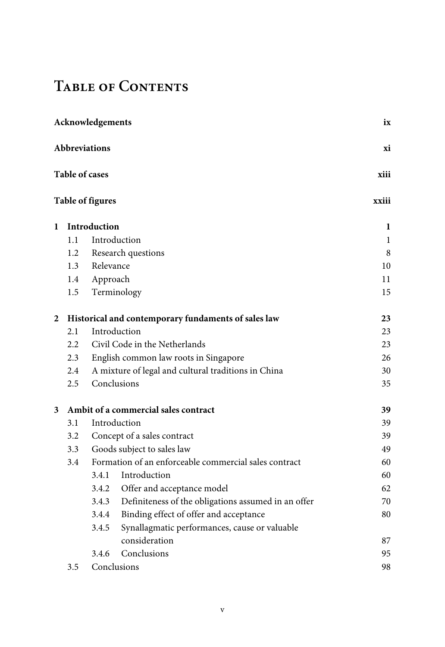## **Table of Contents**

| Acknowledgements        |                                                     |                                                       |                                                     |          |  |  |  |
|-------------------------|-----------------------------------------------------|-------------------------------------------------------|-----------------------------------------------------|----------|--|--|--|
| Abbreviations           |                                                     |                                                       |                                                     |          |  |  |  |
|                         | <b>Table of cases</b>                               |                                                       |                                                     |          |  |  |  |
| <b>Table of figures</b> |                                                     |                                                       |                                                     |          |  |  |  |
| 1                       |                                                     | Introduction                                          |                                                     | 1        |  |  |  |
|                         | 1.1                                                 |                                                       | Introduction                                        | 1        |  |  |  |
|                         | 1.2                                                 |                                                       | Research questions                                  | $\,8\,$  |  |  |  |
|                         | 1.3                                                 | Relevance                                             |                                                     | 10       |  |  |  |
|                         | 1.4                                                 | Approach                                              |                                                     | 11       |  |  |  |
|                         | 1.5                                                 |                                                       | Terminology                                         | 15       |  |  |  |
| 2                       | Historical and contemporary fundaments of sales law |                                                       |                                                     | 23       |  |  |  |
|                         | 2.1                                                 |                                                       | Introduction                                        | 23       |  |  |  |
|                         | 2.2                                                 |                                                       | Civil Code in the Netherlands                       | 23       |  |  |  |
|                         | 2.3                                                 |                                                       | English common law roots in Singapore               | 26       |  |  |  |
|                         | 2.4                                                 |                                                       | A mixture of legal and cultural traditions in China | 30       |  |  |  |
|                         | 2.5                                                 |                                                       | Conclusions                                         | 35       |  |  |  |
| 3                       |                                                     |                                                       | Ambit of a commercial sales contract                | 39       |  |  |  |
|                         | 3.1                                                 |                                                       | Introduction                                        | 39       |  |  |  |
|                         | 3.2                                                 |                                                       | Concept of a sales contract                         | 39       |  |  |  |
|                         | 3.3                                                 | Goods subject to sales law                            |                                                     | 49       |  |  |  |
|                         | 3.4                                                 | Formation of an enforceable commercial sales contract |                                                     | 60       |  |  |  |
|                         |                                                     | 3.4.1                                                 | Introduction                                        | 60       |  |  |  |
|                         |                                                     | 3.4.2                                                 | Offer and acceptance model                          | 62       |  |  |  |
|                         |                                                     | 3.4.3                                                 | Definiteness of the obligations assumed in an offer | 70       |  |  |  |
|                         |                                                     | 3.4.4                                                 | Binding effect of offer and acceptance              | 80       |  |  |  |
|                         |                                                     | 3.4.5                                                 | Synallagmatic performances, cause or valuable       |          |  |  |  |
|                         |                                                     |                                                       | consideration                                       | 87       |  |  |  |
|                         |                                                     | 3.4.6                                                 | Conclusions                                         | 95<br>98 |  |  |  |
|                         | 3.5                                                 | Conclusions                                           |                                                     |          |  |  |  |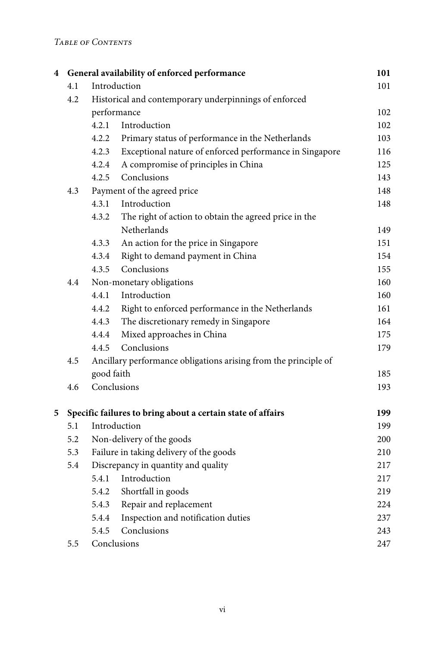## *Table of Contents*

| 4 |     |                                                                 | General availability of enforced performance                | 101 |
|---|-----|-----------------------------------------------------------------|-------------------------------------------------------------|-----|
|   | 4.1 | Introduction                                                    |                                                             | 101 |
|   | 4.2 | Historical and contemporary underpinnings of enforced           |                                                             |     |
|   |     | performance                                                     |                                                             |     |
|   |     | 4.2.1                                                           | Introduction                                                | 102 |
|   |     | 4.2.2                                                           | Primary status of performance in the Netherlands            | 103 |
|   |     | 4.2.3                                                           | Exceptional nature of enforced performance in Singapore     | 116 |
|   |     | 4.2.4                                                           | A compromise of principles in China                         | 125 |
|   |     | 4.2.5                                                           | Conclusions                                                 | 143 |
|   | 4.3 | Payment of the agreed price                                     |                                                             | 148 |
|   |     | 4.3.1                                                           | Introduction                                                | 148 |
|   |     | 4.3.2                                                           | The right of action to obtain the agreed price in the       |     |
|   |     |                                                                 | Netherlands                                                 | 149 |
|   |     | 4.3.3                                                           | An action for the price in Singapore                        | 151 |
|   |     | 4.3.4                                                           | Right to demand payment in China                            | 154 |
|   |     | 4.3.5                                                           | Conclusions                                                 | 155 |
|   | 4.4 | Non-monetary obligations                                        |                                                             | 160 |
|   |     | 4.4.1                                                           | Introduction                                                | 160 |
|   |     | 4.4.2                                                           | Right to enforced performance in the Netherlands            | 161 |
|   |     | 4.4.3                                                           | The discretionary remedy in Singapore                       | 164 |
|   |     | 4.4.4                                                           | Mixed approaches in China                                   | 175 |
|   |     | 4.4.5                                                           | Conclusions                                                 | 179 |
|   | 4.5 | Ancillary performance obligations arising from the principle of |                                                             |     |
|   |     | good faith                                                      |                                                             | 185 |
|   | 4.6 | Conclusions                                                     |                                                             | 193 |
| 5 |     |                                                                 | Specific failures to bring about a certain state of affairs | 199 |
|   | 5.1 | Introduction                                                    |                                                             | 199 |
|   | 5.2 | Non-delivery of the goods                                       |                                                             | 200 |
|   | 5.3 | Failure in taking delivery of the goods                         |                                                             | 210 |
|   | 5.4 | Discrepancy in quantity and quality                             |                                                             | 217 |
|   |     | 5.4.1                                                           | Introduction                                                | 217 |
|   |     | 5.4.2                                                           | Shortfall in goods                                          | 219 |
|   |     | 5.4.3                                                           | Repair and replacement                                      | 224 |
|   |     | 5.4.4                                                           | Inspection and notification duties                          | 237 |
|   |     | 5.4.5                                                           | Conclusions                                                 | 243 |
|   | 5.5 | Conclusions                                                     |                                                             | 247 |